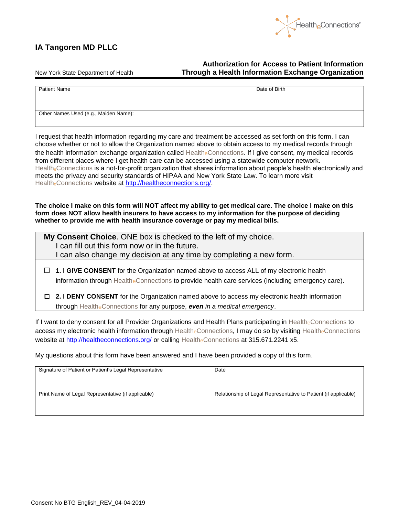

## **IA Tangoren MD PLLC**

**Authorization for Access to Patient Information** New York State Department of Health **Through a Health Information Exchange Organization**

| Date of Birth                         |  |  |
|---------------------------------------|--|--|
|                                       |  |  |
|                                       |  |  |
|                                       |  |  |
| Other Names Used (e.g., Maiden Name): |  |  |
|                                       |  |  |
|                                       |  |  |

I request that health information regarding my care and treatment be accessed as set forth on this form. I can choose whether or not to allow the Organization named above to obtain access to my medical records through the health information exchange organization called HealtheConnections. If I give consent, my medical records from different places where I get health care can be accessed using a statewide computer network. Health<sub>e</sub>Connections is a not-for-profit organization that shares information about people's health electronically and meets the privacy and security standards of HIPAA and New York State Law. To learn more visit HealtheConnections website at [http://healtheconnections.org/.](http://healtheconnections.org/)

**The choice I make on this form will NOT affect my ability to get medical care. The choice I make on this form does NOT allow health insurers to have access to my information for the purpose of deciding whether to provide me with health insurance coverage or pay my medical bills.**

| My Consent Choice. ONE box is checked to the left of my choice.<br>I can fill out this form now or in the future.<br>I can also change my decision at any time by completing a new form.               |
|--------------------------------------------------------------------------------------------------------------------------------------------------------------------------------------------------------|
| $\Box$ 1. I GIVE CONSENT for the Organization named above to access ALL of my electronic health<br>information through Healthe Connections to provide health care services (including emergency care). |
| 2. I DENY CONSENT for the Organization named above to access my electronic health information<br>D.<br>through Health <sub>e</sub> Connections for any purpose, <b>even</b> in a medical emergency.    |

If I want to deny consent for all Provider Organizations and Health Plans participating in HealtheConnections to access my electronic health information through HealtheConnections, I may do so by visiting HealtheConnections website at<http://healtheconnections.org/> or calling HealtheConnections at 315.671.2241 x5.

My questions about this form have been answered and I have been provided a copy of this form.

| Signature of Patient or Patient's Legal Representative | Date                                                            |
|--------------------------------------------------------|-----------------------------------------------------------------|
| Print Name of Legal Representative (if applicable)     | Relationship of Legal Representative to Patient (if applicable) |